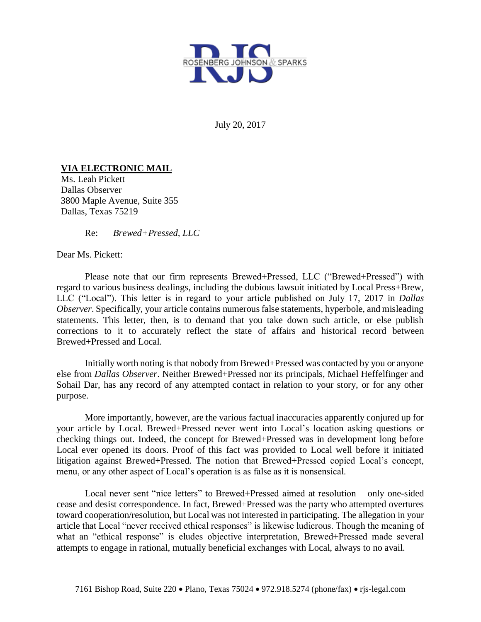

July 20, 2017

## **VIA ELECTRONIC MAIL**

Ms. Leah Pickett Dallas Observer 3800 Maple Avenue, Suite 355 Dallas, Texas 75219

Re: *Brewed+Pressed, LLC*

Dear Ms. Pickett:

Please note that our firm represents Brewed+Pressed, LLC ("Brewed+Pressed") with regard to various business dealings, including the dubious lawsuit initiated by Local Press+Brew, LLC ("Local"). This letter is in regard to your article published on July 17, 2017 in *Dallas Observer*. Specifically, your article contains numerous false statements, hyperbole, and misleading statements. This letter, then, is to demand that you take down such article, or else publish corrections to it to accurately reflect the state of affairs and historical record between Brewed+Pressed and Local.

Initially worth noting is that nobody from Brewed+Pressed was contacted by you or anyone else from *Dallas Observer*. Neither Brewed+Pressed nor its principals, Michael Heffelfinger and Sohail Dar, has any record of any attempted contact in relation to your story, or for any other purpose.

More importantly, however, are the various factual inaccuracies apparently conjured up for your article by Local. Brewed+Pressed never went into Local's location asking questions or checking things out. Indeed, the concept for Brewed+Pressed was in development long before Local ever opened its doors. Proof of this fact was provided to Local well before it initiated litigation against Brewed+Pressed. The notion that Brewed+Pressed copied Local's concept, menu, or any other aspect of Local's operation is as false as it is nonsensical.

Local never sent "nice letters" to Brewed+Pressed aimed at resolution – only one-sided cease and desist correspondence. In fact, Brewed+Pressed was the party who attempted overtures toward cooperation/resolution, but Local was not interested in participating. The allegation in your article that Local "never received ethical responses" is likewise ludicrous. Though the meaning of what an "ethical response" is eludes objective interpretation, Brewed+Pressed made several attempts to engage in rational, mutually beneficial exchanges with Local, always to no avail.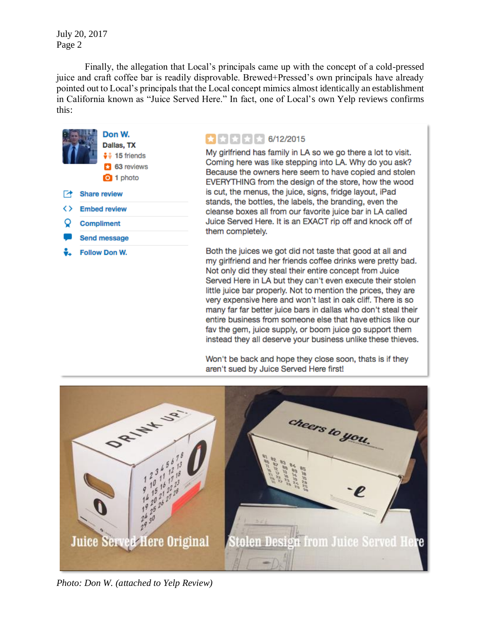July 20, 2017 Page 2

Finally, the allegation that Local's principals came up with the concept of a cold-pressed juice and craft coffee bar is readily disprovable. Brewed+Pressed's own principals have already pointed out to Local's principals that the Local concept mimics almost identically an establishment in California known as "Juice Served Here." In fact, one of Local's own Yelp reviews confirms this:



## ₩₩₩₩ 6/12/2015

My girlfriend has family in LA so we go there a lot to visit. Coming here was like stepping into LA. Why do you ask? Because the owners here seem to have copied and stolen EVERYTHING from the design of the store, how the wood is cut, the menus, the juice, signs, fridge layout, iPad stands, the bottles, the labels, the branding, even the cleanse boxes all from our favorite juice bar in LA called Juice Served Here. It is an EXACT rip off and knock off of them completely.

Both the juices we got did not taste that good at all and my girlfriend and her friends coffee drinks were pretty bad. Not only did they steal their entire concept from Juice Served Here in LA but they can't even execute their stolen little juice bar properly. Not to mention the prices, they are very expensive here and won't last in oak cliff. There is so many far far better juice bars in dallas who don't steal their entire business from someone else that have ethics like our fav the gem, juice supply, or boom juice go support them instead they all deserve your business unlike these thieves.

Won't be back and hope they close soon, thats is if they aren't sued by Juice Served Here first!



*Photo: Don W. (attached to Yelp Review)*